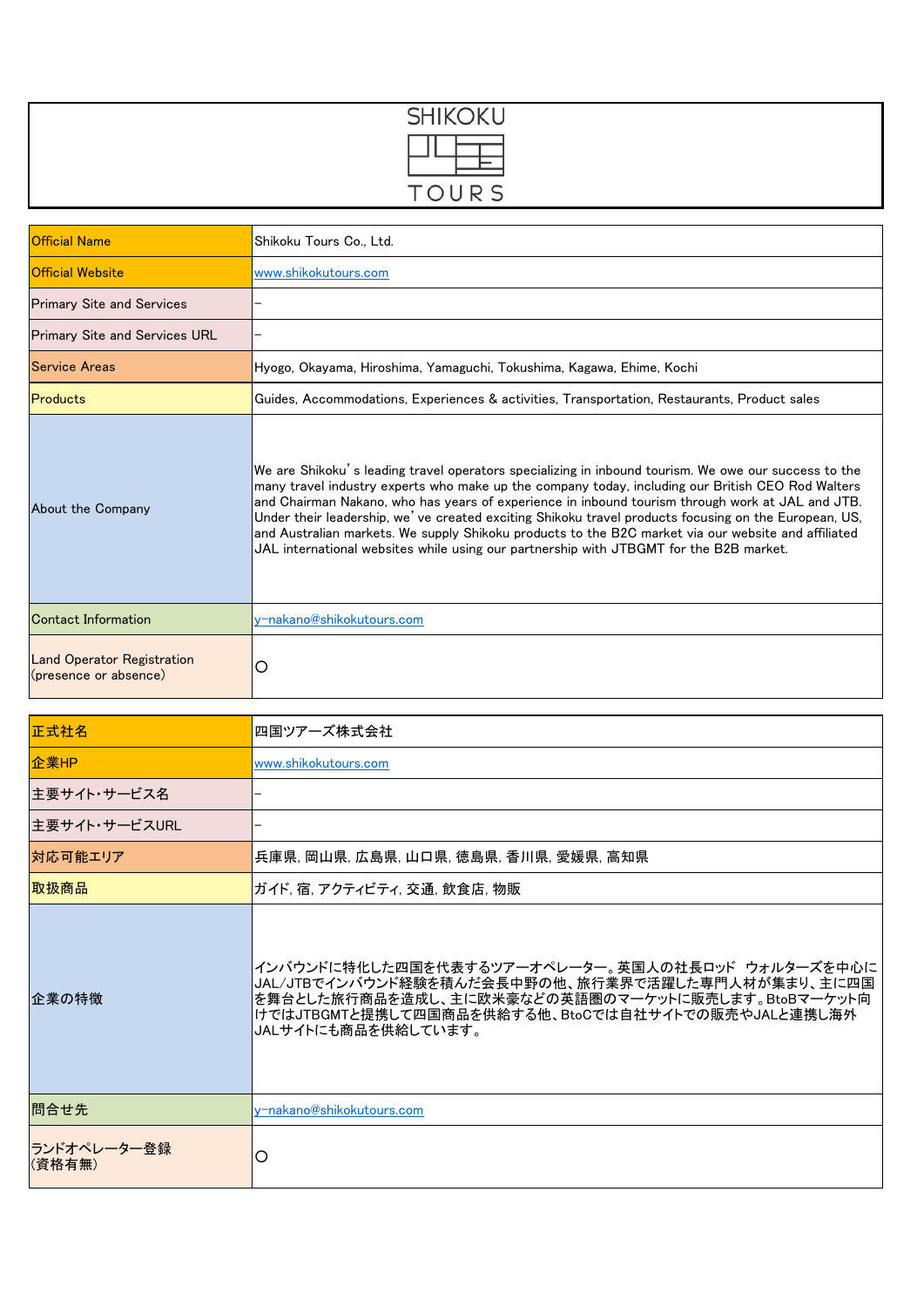| <b>SHIKOKU</b>                                                                                                                                                                                                                                                                                                                                                                                                            |  |
|---------------------------------------------------------------------------------------------------------------------------------------------------------------------------------------------------------------------------------------------------------------------------------------------------------------------------------------------------------------------------------------------------------------------------|--|
| $\frac{\frac{1}{1-\frac{1}{1-\frac{1}{1-\frac{1}{1-\frac{1}{1-\frac{1}{1-\frac{1}{1-\frac{1}{1-\frac{1}{1-\frac{1}{1-\frac{1}{1-\frac{1}{1-\frac{1}{1-\frac{1}{1-\frac{1}{1-\frac{1}{1-\frac{1}{1-\frac{1}{1-\frac{1}{1-\frac{1}{1-\frac{1}{1-\frac{1}{1-\frac{1}{1-\frac{1}{1-\frac{1}{1-\frac{1}{1-\frac{1}{1-\frac{1}{1-\frac{1}{1-\frac{1}{1-\frac{1}{1-\frac{1}{1-\frac{1}{1-\frac{1}{1-\frac{1}{1-\frac{1}{1-\frac$ |  |
| TOURS                                                                                                                                                                                                                                                                                                                                                                                                                     |  |

| <b>Official Name</b>                                       | Shikoku Tours Co., Ltd.                                                                                                                                                                                                                                                                                                                                                                                                                                                                                                                                                                                                |
|------------------------------------------------------------|------------------------------------------------------------------------------------------------------------------------------------------------------------------------------------------------------------------------------------------------------------------------------------------------------------------------------------------------------------------------------------------------------------------------------------------------------------------------------------------------------------------------------------------------------------------------------------------------------------------------|
| <b>Official Website</b>                                    | www.shikokutours.com                                                                                                                                                                                                                                                                                                                                                                                                                                                                                                                                                                                                   |
| <b>Primary Site and Services</b>                           |                                                                                                                                                                                                                                                                                                                                                                                                                                                                                                                                                                                                                        |
| <b>Primary Site and Services URL</b>                       |                                                                                                                                                                                                                                                                                                                                                                                                                                                                                                                                                                                                                        |
| <b>Service Areas</b>                                       | Hyogo, Okayama, Hiroshima, Yamaguchi, Tokushima, Kagawa, Ehime, Kochi                                                                                                                                                                                                                                                                                                                                                                                                                                                                                                                                                  |
| Products                                                   | Guides, Accommodations, Experiences & activities, Transportation, Restaurants, Product sales                                                                                                                                                                                                                                                                                                                                                                                                                                                                                                                           |
| About the Company                                          | We are Shikoku's leading travel operators specializing in inbound tourism. We owe our success to the<br>many travel industry experts who make up the company today, including our British CEO Rod Walters<br>and Chairman Nakano, who has years of experience in inbound tourism through work at JAL and JTB.<br>Under their leadership, we've created exciting Shikoku travel products focusing on the European, US,<br>and Australian markets. We supply Shikoku products to the B2C market via our website and affiliated<br>JAL international websites while using our partnership with JTBGMT for the B2B market. |
| Contact Information                                        | v-nakano@shikokutours.com                                                                                                                                                                                                                                                                                                                                                                                                                                                                                                                                                                                              |
| <b>Land Operator Registration</b><br>(presence or absence) | O                                                                                                                                                                                                                                                                                                                                                                                                                                                                                                                                                                                                                      |

| 正式社名                   | 四国ツアーズ株式会社                                                                                                                                                                                                                              |
|------------------------|-----------------------------------------------------------------------------------------------------------------------------------------------------------------------------------------------------------------------------------------|
| 企業HP                   | www.shikokutours.com                                                                                                                                                                                                                    |
| 主要サイト・サービス名            |                                                                                                                                                                                                                                         |
| 主要サイト・サービスURL          |                                                                                                                                                                                                                                         |
| 対応可能エリア                | 兵庫県, 岡山県, 広島県, 山口県, 徳島県, 香川県, 愛媛県, 高知県                                                                                                                                                                                                  |
| 取扱商品                   | ガイド, 宿, アクティビティ, 交通, 飲食店, 物販                                                                                                                                                                                                            |
| 企業の特徴                  | インバウンドに特化した四国を代表するツアーオペレーター。英国人の社長ロッド ウォルターズを中心に<br>JAL/JTBでインバウンド経験を積んだ会長中野の他、旅行業界で活躍した専門人材が集まり、主に四国<br>を舞台とした旅行商品を造成し、主に欧米豪などの英語圏のマーケットに販売します。BtoBマーケット向<br>けではJTBGMTと提携して四国商品を供給する他、BtoCでは自社サイトでの販売やJALと連携し海外<br>JALサイトにも商品を供給しています。 |
| 問合せ先                   | v-nakano@shikokutours.com                                                                                                                                                                                                               |
| ランドオペレーター登録 <br>(資格有無) | O                                                                                                                                                                                                                                       |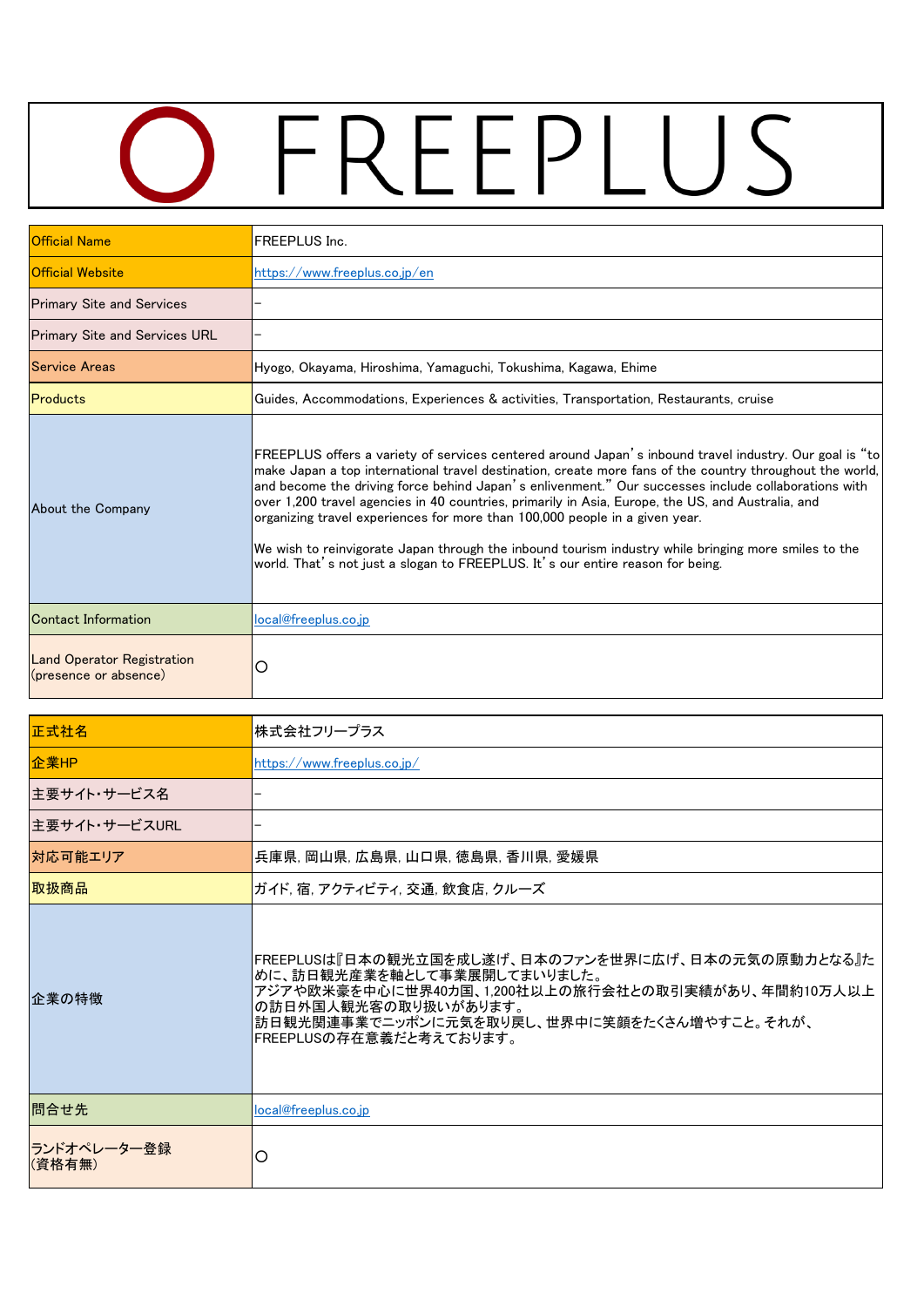## OFREEPLUS

| <b>Official Name</b>                                       | <b>FREEPLUS Inc.</b>                                                                                                                                                                                                                                                                                                                                                                                                                                                                                                                                                                                                                                                                                    |
|------------------------------------------------------------|---------------------------------------------------------------------------------------------------------------------------------------------------------------------------------------------------------------------------------------------------------------------------------------------------------------------------------------------------------------------------------------------------------------------------------------------------------------------------------------------------------------------------------------------------------------------------------------------------------------------------------------------------------------------------------------------------------|
| Official Website                                           | https://www.freeplus.co.jp/en                                                                                                                                                                                                                                                                                                                                                                                                                                                                                                                                                                                                                                                                           |
| <b>Primary Site and Services</b>                           |                                                                                                                                                                                                                                                                                                                                                                                                                                                                                                                                                                                                                                                                                                         |
| <b>Primary Site and Services URL</b>                       |                                                                                                                                                                                                                                                                                                                                                                                                                                                                                                                                                                                                                                                                                                         |
| Service Areas                                              | Hyogo, Okayama, Hiroshima, Yamaguchi, Tokushima, Kagawa, Ehime                                                                                                                                                                                                                                                                                                                                                                                                                                                                                                                                                                                                                                          |
| Products                                                   | Guides, Accommodations, Experiences & activities, Transportation, Restaurants, cruise                                                                                                                                                                                                                                                                                                                                                                                                                                                                                                                                                                                                                   |
| About the Company                                          | FREEPLUS offers a variety of services centered around Japan's inbound travel industry. Our goal is "to<br>make Japan a top international travel destination, create more fans of the country throughout the world,<br>and become the driving force behind Japan's enlivenment." Our successes include collaborations with<br>over 1,200 travel agencies in 40 countries, primarily in Asia, Europe, the US, and Australia, and<br>organizing travel experiences for more than 100,000 people in a given year.<br>We wish to reinvigorate Japan through the inbound tourism industry while bringing more smiles to the<br>world. That's not just a slogan to FREEPLUS. It's our entire reason for being. |
| Contact Information                                        | local@freeplus.co.ip                                                                                                                                                                                                                                                                                                                                                                                                                                                                                                                                                                                                                                                                                    |
| <b>Land Operator Registration</b><br>(presence or absence) | О                                                                                                                                                                                                                                                                                                                                                                                                                                                                                                                                                                                                                                                                                                       |

| 正式社名                  | 株式会社フリープラス                                                                                                                                                                                                                                |
|-----------------------|-------------------------------------------------------------------------------------------------------------------------------------------------------------------------------------------------------------------------------------------|
| 企業HP                  | https://www.freeplus.co.jp/                                                                                                                                                                                                               |
| 主要サイト・サービス名           |                                                                                                                                                                                                                                           |
| 主要サイト・サービスURL         |                                                                                                                                                                                                                                           |
| 対応可能エリア               | 兵庫県, 岡山県, 広島県, 山口県, 徳島県, 香川県, 愛媛県                                                                                                                                                                                                         |
| 取扱商品                  | ガイド, 宿, アクティビティ, 交通, 飲食店, クルーズ                                                                                                                                                                                                            |
| 企業の特徴                 | FREEPLUSは『日本の観光立国を成し遂げ、日本のファンを世界に広げ、日本の元気の原動力となる』た<br>めに、訪日観光産業を軸として事業展開してまいりました。<br>アジアや欧米豪を中心に世界40カ国、1,200社以上の旅行会社との取引実績があり、年間約10万人以上<br>の訪日外国人観光客の取り扱いがあります。<br>訪日観光関連事業でニッポンに元気を取り戻し、世界中に笑顔をたくさん増やすこと。それが、<br>FREEPLUSの存在意義だと考えております。 |
| 問合せ先                  | local@freeplus.co.jp                                                                                                                                                                                                                      |
| ランドオペレーター登録<br>(資格有無) | O                                                                                                                                                                                                                                         |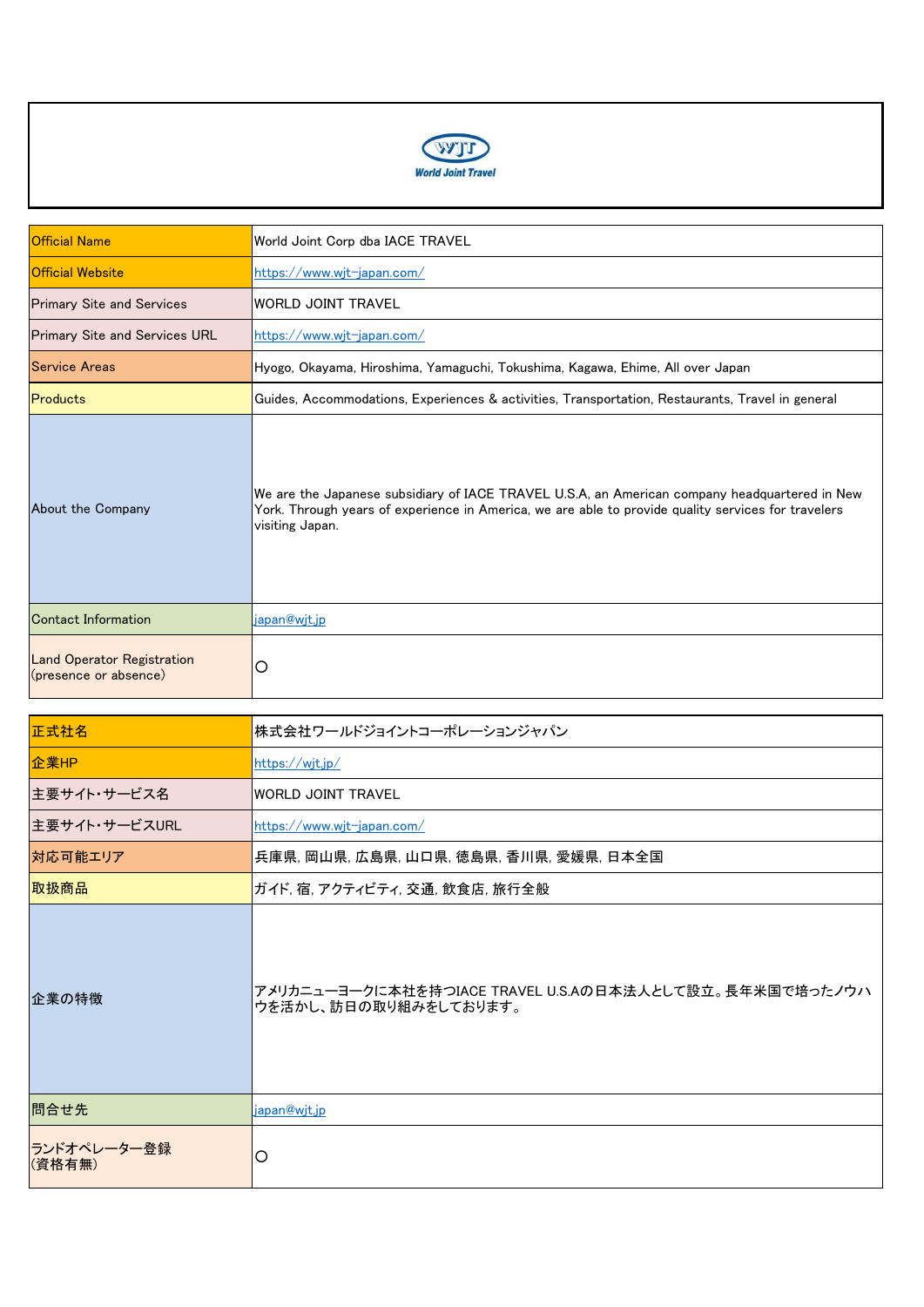

| <b>Official Name</b>                                       | World Joint Corp dba IACE TRAVEL                                                                                                                                                                                        |
|------------------------------------------------------------|-------------------------------------------------------------------------------------------------------------------------------------------------------------------------------------------------------------------------|
| <b>Official Website</b>                                    | https://www.wjt-japan.com/                                                                                                                                                                                              |
| <b>Primary Site and Services</b>                           | <b>WORLD JOINT TRAVEL</b>                                                                                                                                                                                               |
| <b>Primary Site and Services URL</b>                       | https://www.wjt-japan.com/                                                                                                                                                                                              |
| <b>Service Areas</b>                                       | Hyogo, Okayama, Hiroshima, Yamaguchi, Tokushima, Kagawa, Ehime, All over Japan                                                                                                                                          |
| Products                                                   | Guides, Accommodations, Experiences & activities, Transportation, Restaurants, Travel in general                                                                                                                        |
| About the Company                                          | We are the Japanese subsidiary of IACE TRAVEL U.S.A, an American company headquartered in New<br>York. Through years of experience in America, we are able to provide quality services for travelers<br>visiting Japan. |
| Contact Information                                        | japan@wjt.jp                                                                                                                                                                                                            |
| <b>Land Operator Registration</b><br>(presence or absence) | O                                                                                                                                                                                                                       |

| 正式社名                  | 株式会社ワールドジョイントコーポレーションジャパン                                                        |
|-----------------------|----------------------------------------------------------------------------------|
| 企業HP                  | https://wjt.jp/                                                                  |
| 主要サイト・サービス名           | <b>WORLD JOINT TRAVEL</b>                                                        |
| 主要サイト・サービスURL         | https://www.wjt-japan.com/                                                       |
| 対応可能エリア               | 兵庫県, 岡山県, 広島県, 山口県, 徳島県, 香川県, 愛媛県, 日本全国                                          |
| 取扱商品                  | ガイド, 宿, アクティビティ, 交通, 飲食店, 旅行全般                                                   |
| 企業の特徴                 | アメリカニューヨークに本社を持つIACE TRAVEL U.S.Aの日本法人として設立。長年米国で培ったノウハ<br>ウを活かし、訪日の取り組みをしております。 |
| 問合せ先                  | japan@wjt.jp                                                                     |
| ランドオペレーター登録<br>(資格有無) | O                                                                                |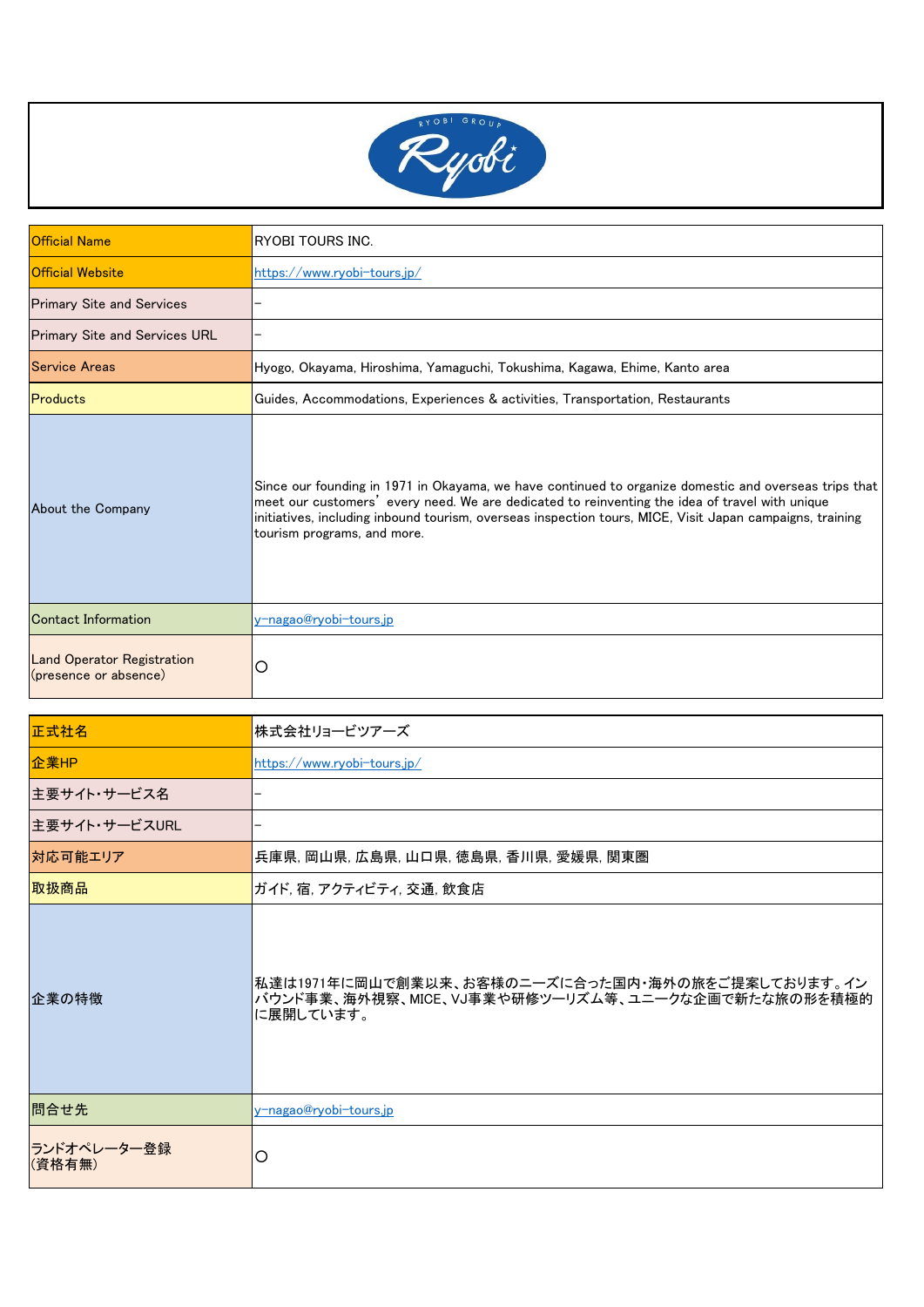

| <b>Official Name</b>                                       | RYOBI TOURS INC.                                                                                                                                                                                                                                                                                                                                   |
|------------------------------------------------------------|----------------------------------------------------------------------------------------------------------------------------------------------------------------------------------------------------------------------------------------------------------------------------------------------------------------------------------------------------|
| <b>Official Website</b>                                    | https://www.ryobi-tours.jp/                                                                                                                                                                                                                                                                                                                        |
| <b>Primary Site and Services</b>                           |                                                                                                                                                                                                                                                                                                                                                    |
| <b>Primary Site and Services URL</b>                       |                                                                                                                                                                                                                                                                                                                                                    |
| <b>Service Areas</b>                                       | Hyogo, Okayama, Hiroshima, Yamaguchi, Tokushima, Kagawa, Ehime, Kanto area                                                                                                                                                                                                                                                                         |
| Products                                                   | Guides, Accommodations, Experiences & activities, Transportation, Restaurants                                                                                                                                                                                                                                                                      |
| About the Company                                          | Since our founding in 1971 in Okayama, we have continued to organize domestic and overseas trips that<br>meet our customers' every need. We are dedicated to reinventing the idea of travel with unique<br>initiatives, including inbound tourism, overseas inspection tours, MICE, Visit Japan campaigns, training<br>tourism programs, and more. |
| Contact Information                                        | <u>v-nagao@ryobi-tours.jp</u>                                                                                                                                                                                                                                                                                                                      |
| <b>Land Operator Registration</b><br>(presence or absence) | О                                                                                                                                                                                                                                                                                                                                                  |

| 正式社名                  | 株式会社リョービツアーズ                                                                                                       |
|-----------------------|--------------------------------------------------------------------------------------------------------------------|
| 企業HP                  | https://www.rvobi-tours.jp/                                                                                        |
| 主要サイト・サービス名           |                                                                                                                    |
| 主要サイト・サービスURL         |                                                                                                                    |
| 対応可能エリア               | 兵庫県, 岡山県, 広島県, 山口県, 徳島県, 香川県, 愛媛県, 関東圏                                                                             |
| 取扱商品                  | ガイド, 宿, アクティビティ, 交通, 飲食店                                                                                           |
| 企業の特徴                 | 私達は1971年に岡山で創業以来、お客様のニーズに合った国内・海外の旅をご提案しております。イン<br>バウンド事業、海外視察、MICE、VJ事業や研修ツーリズム等、ユニークな企画で新たな旅の形を積極的<br>に展開しています。 |
| 問合せ先                  | y-nagao@ryobi-tours.jp                                                                                             |
| ランドオペレーター登録<br>(資格有無) | O                                                                                                                  |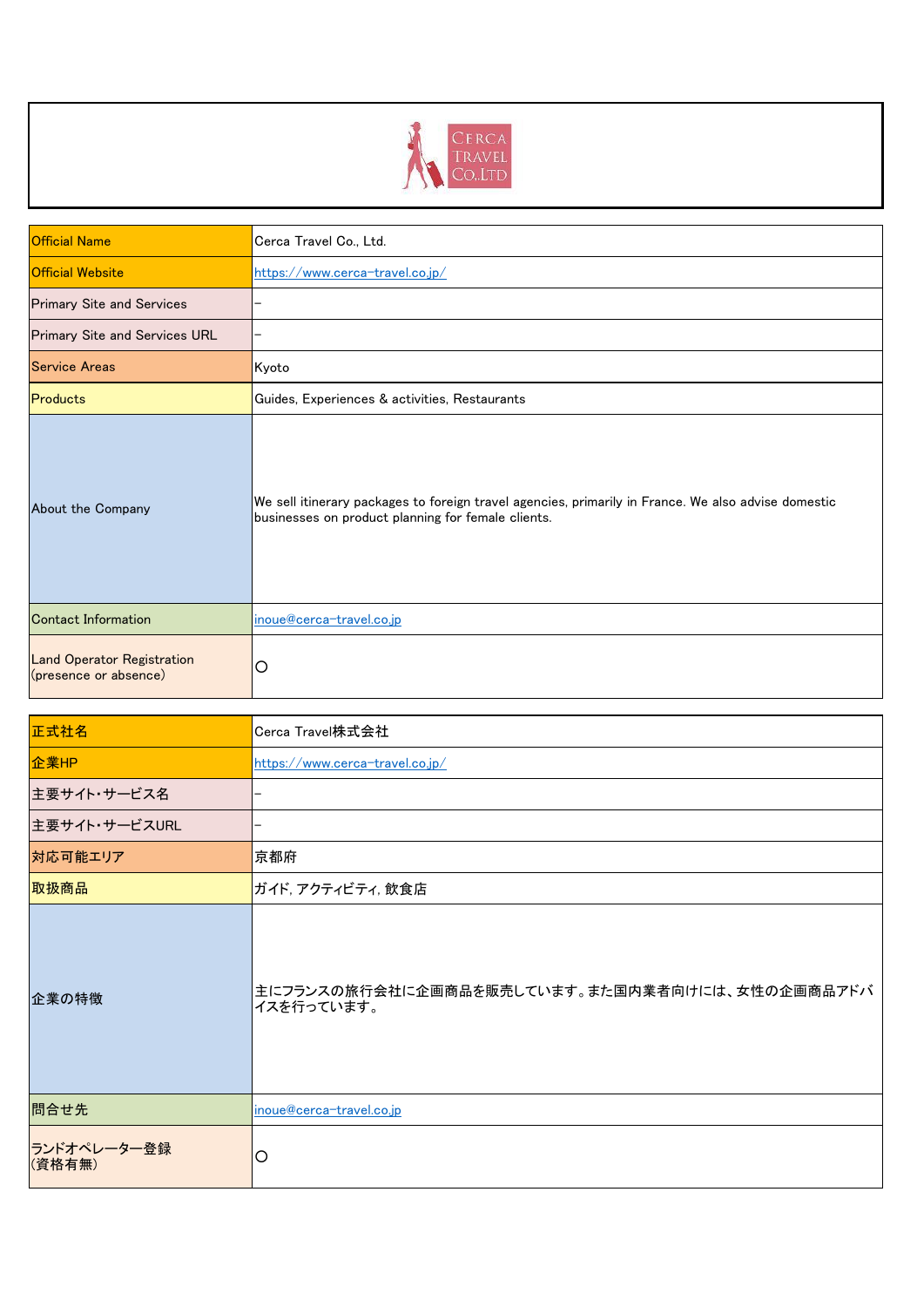

| <b>Official Name</b>                                       | Cerca Travel Co., Ltd.                                                                                                                                    |
|------------------------------------------------------------|-----------------------------------------------------------------------------------------------------------------------------------------------------------|
| <b>Official Website</b>                                    | https://www.cerca-travel.co.jp/                                                                                                                           |
| <b>Primary Site and Services</b>                           |                                                                                                                                                           |
| Primary Site and Services URL                              |                                                                                                                                                           |
| <b>Service Areas</b>                                       | Kyoto                                                                                                                                                     |
| Products                                                   | Guides, Experiences & activities, Restaurants                                                                                                             |
| About the Company                                          | We sell itinerary packages to foreign travel agencies, primarily in France. We also advise domestic<br>businesses on product planning for female clients. |
| <b>Contact Information</b>                                 | inoue@cerca-travel.co.jp                                                                                                                                  |
| <b>Land Operator Registration</b><br>(presence or absence) | O                                                                                                                                                         |

| 正式社名                  | Cerca Travel株式会社                                             |
|-----------------------|--------------------------------------------------------------|
| 企業HP                  | https://www.cerca-travel.co.jp/                              |
| 主要サイト・サービス名           |                                                              |
| 主要サイト・サービスURL         |                                                              |
| 対応可能エリア               | 京都府                                                          |
| 取扱商品                  | ガイド,アクティビティ,飲食店                                              |
| 企業の特徴                 | 主にフランスの旅行会社に企画商品を販売しています。また国内業者向けには、女性の企画商品アドバ<br>イスを行っています。 |
| 問合せ先                  | inoue@cerca-travel.co.jp                                     |
| ランドオペレーター登録<br>(資格有無) | O                                                            |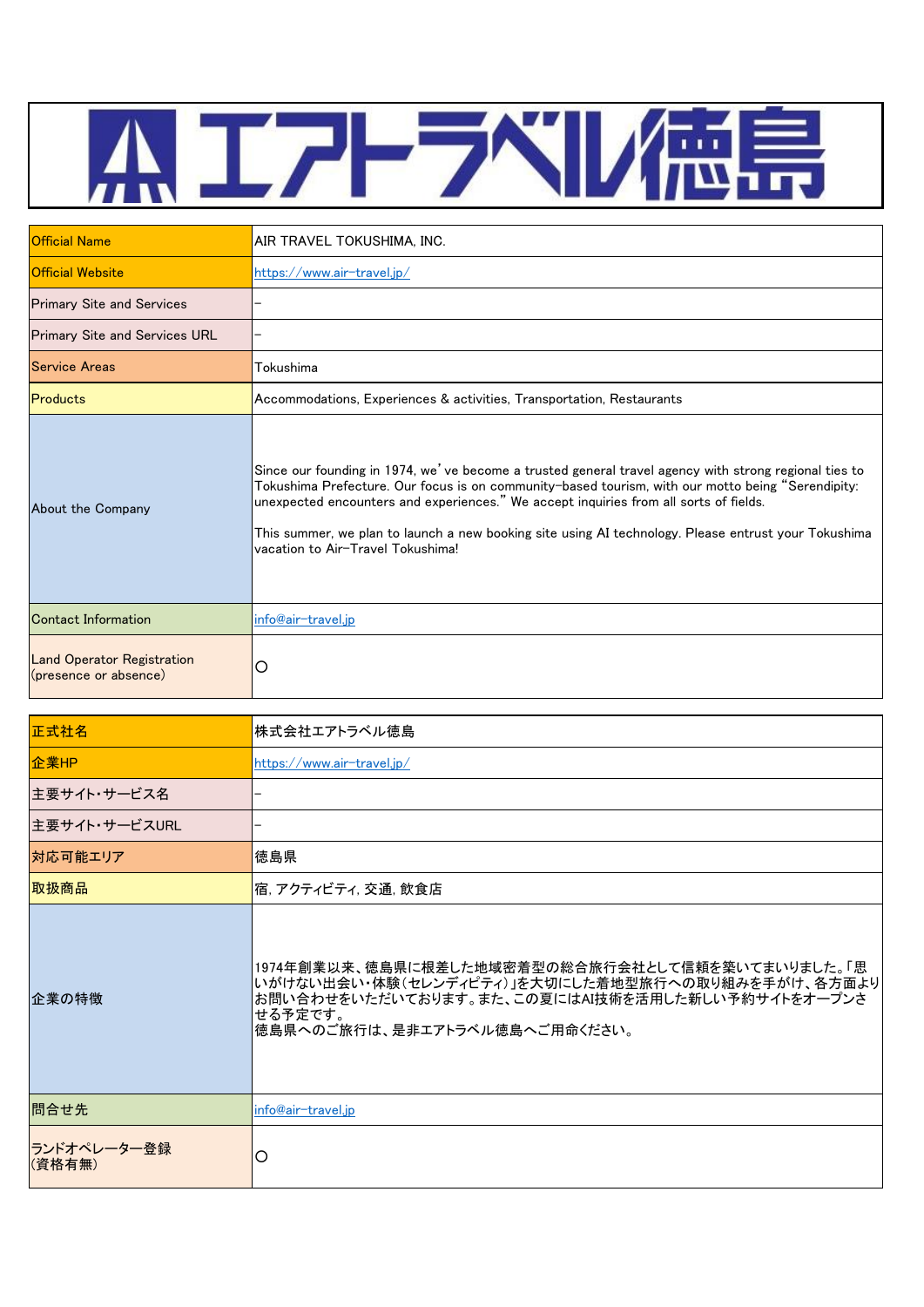

| <b>Official Name</b>                                       | AIR TRAVEL TOKUSHIMA. INC.                                                                                                                                                                                                                                                                                                                                                                                                                       |
|------------------------------------------------------------|--------------------------------------------------------------------------------------------------------------------------------------------------------------------------------------------------------------------------------------------------------------------------------------------------------------------------------------------------------------------------------------------------------------------------------------------------|
| <b>Official Website</b>                                    | https://www.air-travel.jp/                                                                                                                                                                                                                                                                                                                                                                                                                       |
| <b>Primary Site and Services</b>                           |                                                                                                                                                                                                                                                                                                                                                                                                                                                  |
| <b>Primary Site and Services URL</b>                       |                                                                                                                                                                                                                                                                                                                                                                                                                                                  |
| <b>Service Areas</b>                                       | Tokushima                                                                                                                                                                                                                                                                                                                                                                                                                                        |
| Products                                                   | Accommodations, Experiences & activities, Transportation, Restaurants                                                                                                                                                                                                                                                                                                                                                                            |
| About the Company                                          | Since our founding in 1974, we've become a trusted general travel agency with strong regional ties to<br>Tokushima Prefecture. Our focus is on community-based tourism, with our motto being "Serendipity:<br>unexpected encounters and experiences." We accept inquiries from all sorts of fields.<br>This summer, we plan to launch a new booking site using AI technology. Please entrust your Tokushima<br>vacation to Air-Travel Tokushima! |
| Contact Information                                        | info@air-travel.jp                                                                                                                                                                                                                                                                                                                                                                                                                               |
| <b>Land Operator Registration</b><br>(presence or absence) | O                                                                                                                                                                                                                                                                                                                                                                                                                                                |

| 正式社名                  | 株式会社エアトラベル徳島                                                                                                                                                                                          |
|-----------------------|-------------------------------------------------------------------------------------------------------------------------------------------------------------------------------------------------------|
| 企業HP                  | https://www.air-travel.ip/                                                                                                                                                                            |
| 主要サイト・サービス名           |                                                                                                                                                                                                       |
| 主要サイト・サービスURL         |                                                                                                                                                                                                       |
| 対応可能エリア               | 徳島県                                                                                                                                                                                                   |
| 取扱商品                  | 宿, アクティビティ, 交通, 飲食店                                                                                                                                                                                   |
| 企業の特徴                 | 1974年創業以来、徳島県に根差した地域密着型の総合旅行会社として信頼を築いてまいりました。「思<br>いがけない出会い・体験(セレンディピティ)」を大切にした着地型旅行への取り組みを手がけ、各方面より<br>お問い合わせをいただいております。また、この夏にはAI技術を活用した新しい予約サイトをオープンさ<br>せる予定です。<br>徳島県へのご旅行は、是非エアトラベル徳島へご用命ください。 |
| 問合せ先                  | info@air-travel.jp                                                                                                                                                                                    |
| ランドオペレーター登録<br>(資格有無) | O                                                                                                                                                                                                     |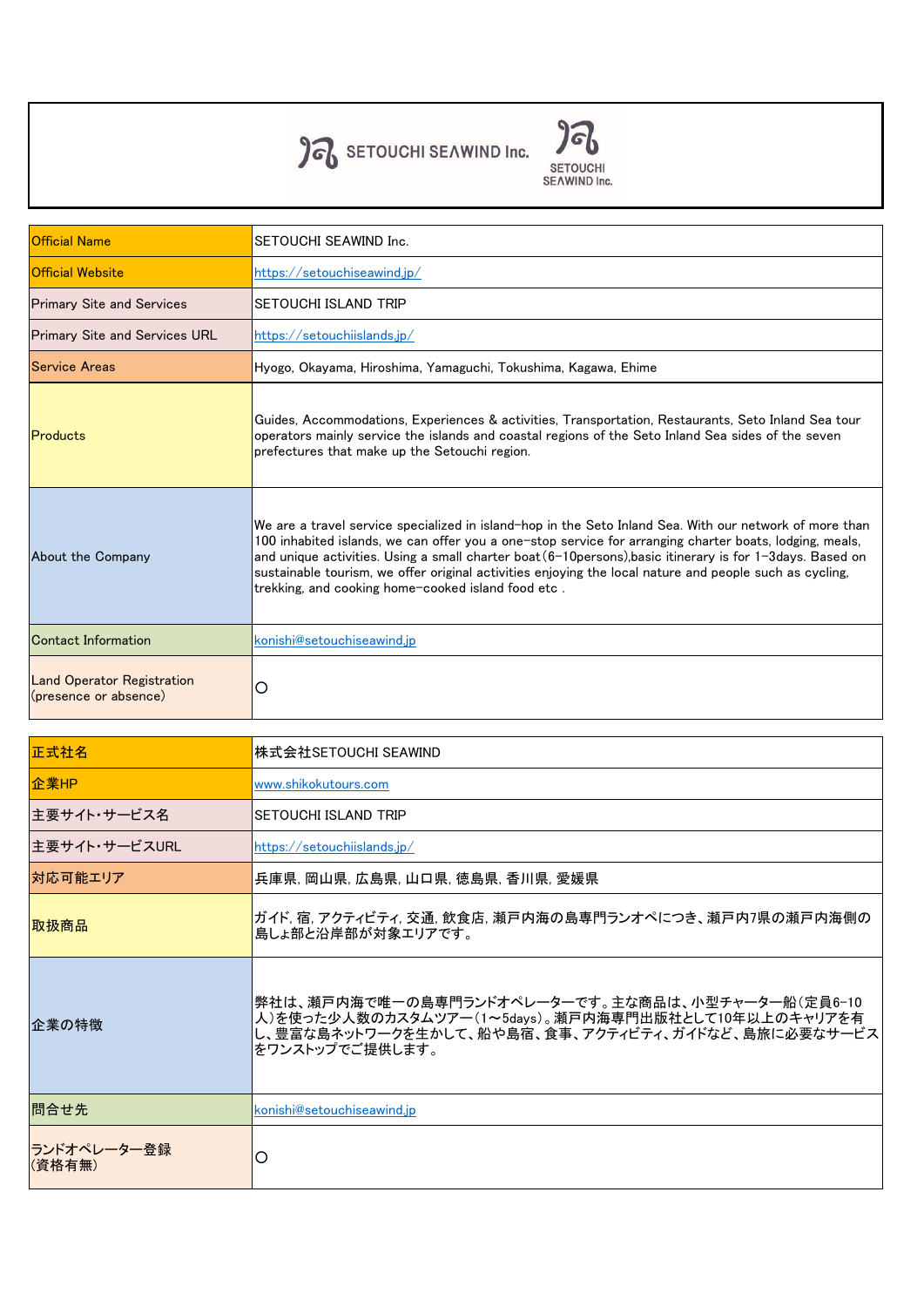

**SETOUCHI**<br>SEAWIND Inc.

| <b>Official Name</b>                                       | SETOUCHI SEAWIND Inc.                                                                                                                                                                                                                                                                                                                                                                                                                                                                                |
|------------------------------------------------------------|------------------------------------------------------------------------------------------------------------------------------------------------------------------------------------------------------------------------------------------------------------------------------------------------------------------------------------------------------------------------------------------------------------------------------------------------------------------------------------------------------|
| <b>Official Website</b>                                    | https://setouchiseawind.jp/                                                                                                                                                                                                                                                                                                                                                                                                                                                                          |
| <b>Primary Site and Services</b>                           | <b>SETOUCHI ISLAND TRIP</b>                                                                                                                                                                                                                                                                                                                                                                                                                                                                          |
| <b>Primary Site and Services URL</b>                       | https://setouchiislands.jp/                                                                                                                                                                                                                                                                                                                                                                                                                                                                          |
| <b>Service Areas</b>                                       | Hyogo, Okayama, Hiroshima, Yamaguchi, Tokushima, Kagawa, Ehime                                                                                                                                                                                                                                                                                                                                                                                                                                       |
| <b>Products</b>                                            | Guides, Accommodations, Experiences & activities, Transportation, Restaurants, Seto Inland Sea tour<br>operators mainly service the islands and coastal regions of the Seto Inland Sea sides of the seven<br>prefectures that make up the Setouchi region.                                                                                                                                                                                                                                           |
| About the Company                                          | We are a travel service specialized in island-hop in the Seto Inland Sea. With our network of more than<br>100 inhabited islands, we can offer you a one-stop service for arranging charter boats, lodging, meals,<br>and unique activities. Using a small charter boat (6-10 persons), basic itinerary is for 1-3 days. Based on<br>sustainable tourism, we offer original activities enjoying the local nature and people such as cycling,<br> trekking, and cooking home-cooked island food etc . |
| <b>Contact Information</b>                                 | konishi@setouchiseawind.ip                                                                                                                                                                                                                                                                                                                                                                                                                                                                           |
| <b>Land Operator Registration</b><br>(presence or absence) | O                                                                                                                                                                                                                                                                                                                                                                                                                                                                                                    |

| 正式社名                   | 株式会社SETOUCHI SEAWIND                                                                                                                                                             |
|------------------------|----------------------------------------------------------------------------------------------------------------------------------------------------------------------------------|
| 企業HP                   | www.shikokutours.com                                                                                                                                                             |
| 主要サイト・サービス名            | <b>SETOUCHI ISLAND TRIP</b>                                                                                                                                                      |
| 主要サイト・サービスURL          | https://setouchiislands.jp/                                                                                                                                                      |
| 対応可能エリア                | 兵庫県, 岡山県, 広島県, 山口県, 徳島県, 香川県, 愛媛県                                                                                                                                                |
| 取扱商品                   | ガイド, 宿, アクティビティ, 交通, 飲食店, 瀬戸内海の島専門ランオペにつき、瀬戸内7県の瀬戸内海側の<br>島しょ部と沿岸部が対象エリアです。                                                                                                      |
| 企業の特徴                  | 弊社は、瀬戸内海で唯一の島専門ランドオペレーターです。主な商品は、小型チャーター船(定員6-10<br>人)を使った少人数のカスタムツアー(1~5days)。瀬戸内海専門出版社として10年以上のキャリアを有<br>し、豊富な島ネットワークを生かして、船や島宿、食事、アクティビティ、ガイドなど、島旅に必要なサービス<br>をワンストップでご提供します。 |
| 問合せ先                   | konishi@setouchiseawind.jp                                                                                                                                                       |
| ランドオペレーター登録 <br>(資格有無) | О                                                                                                                                                                                |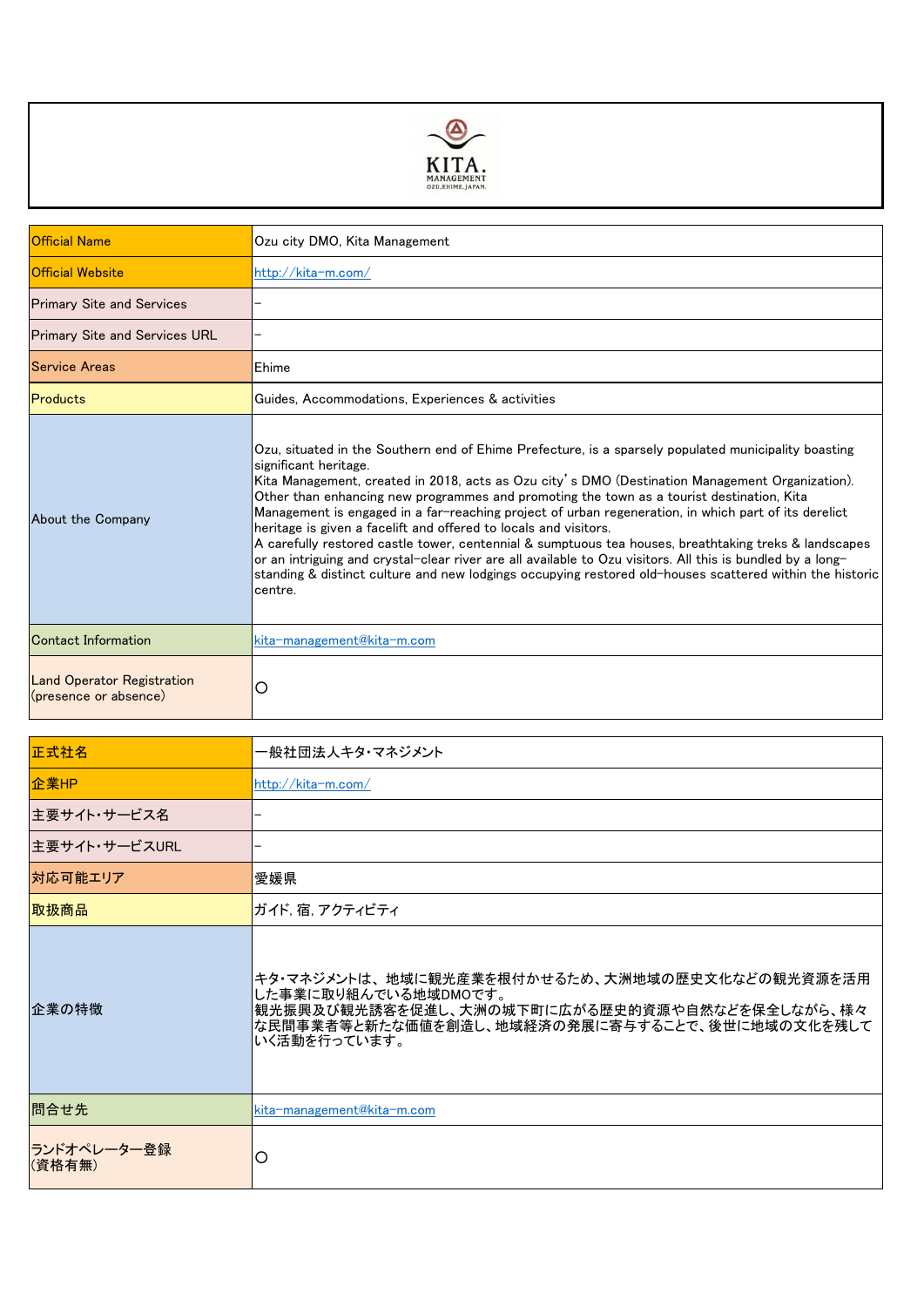

| <b>Official Name</b>                                       | Ozu city DMO, Kita Management                                                                                                                                                                                                                                                                                                                                                                                                                                                                                                                                                                                                                                                                                                                                                                                                                           |
|------------------------------------------------------------|---------------------------------------------------------------------------------------------------------------------------------------------------------------------------------------------------------------------------------------------------------------------------------------------------------------------------------------------------------------------------------------------------------------------------------------------------------------------------------------------------------------------------------------------------------------------------------------------------------------------------------------------------------------------------------------------------------------------------------------------------------------------------------------------------------------------------------------------------------|
| <b>Official Website</b>                                    | http://kita-m.com/                                                                                                                                                                                                                                                                                                                                                                                                                                                                                                                                                                                                                                                                                                                                                                                                                                      |
| <b>Primary Site and Services</b>                           |                                                                                                                                                                                                                                                                                                                                                                                                                                                                                                                                                                                                                                                                                                                                                                                                                                                         |
| <b>Primary Site and Services URL</b>                       |                                                                                                                                                                                                                                                                                                                                                                                                                                                                                                                                                                                                                                                                                                                                                                                                                                                         |
| <b>Service Areas</b>                                       | Ehime                                                                                                                                                                                                                                                                                                                                                                                                                                                                                                                                                                                                                                                                                                                                                                                                                                                   |
| Products                                                   | Guides, Accommodations, Experiences & activities                                                                                                                                                                                                                                                                                                                                                                                                                                                                                                                                                                                                                                                                                                                                                                                                        |
| About the Company                                          | Ozu, situated in the Southern end of Ehime Prefecture, is a sparsely populated municipality boasting<br>significant heritage.<br>Kita Management, created in 2018, acts as Ozu city's DMO (Destination Management Organization).<br>Other than enhancing new programmes and promoting the town as a tourist destination, Kita<br>Management is engaged in a far-reaching project of urban regeneration, in which part of its derelict<br>heritage is given a facelift and offered to locals and visitors.<br>A carefully restored castle tower, centennial & sumptuous tea houses, breathtaking treks & landscapes<br>or an intriguing and crystal-clear river are all available to Ozu visitors. All this is bundled by a long-<br>standing & distinct culture and new lodgings occupying restored old-houses scattered within the historic<br>centre. |
| Contact Information                                        | kita-management@kita-m.com                                                                                                                                                                                                                                                                                                                                                                                                                                                                                                                                                                                                                                                                                                                                                                                                                              |
| <b>Land Operator Registration</b><br>(presence or absence) | О                                                                                                                                                                                                                                                                                                                                                                                                                                                                                                                                                                                                                                                                                                                                                                                                                                                       |

| 正式社名                   | 一般社団法人キタ・マネジメント                                                                                                                                                                           |
|------------------------|-------------------------------------------------------------------------------------------------------------------------------------------------------------------------------------------|
| 企業HP                   | http://kita-m.com/                                                                                                                                                                        |
| 主要サイト・サービス名            |                                                                                                                                                                                           |
| 主要サイト・サービスURL          |                                                                                                                                                                                           |
| 対応可能エリア                | 愛媛県                                                                                                                                                                                       |
| 取扱商品                   | ガイド, 宿, アクティビティ                                                                                                                                                                           |
| 企業の特徴                  | キタ・マネジメントは、地域に観光産業を根付かせるため、大洲地域の歴史文化などの観光資源を活用<br>した事業に取り組んでいる地域DMOです。<br>観光振興及び観光誘客を促進し、大洲の城下町に広がる歴史的資源や自然などを保全しながら、様々<br>な民間事業者等と新たな価値を創造し、地域経済の発展に寄与することで、後世に地域の文化を残して<br>いく活動を行っています。 |
| 問合せ先                   | kita-management@kita-m.com                                                                                                                                                                |
| ランドオペレーター登録 <br>(資格有無) | О                                                                                                                                                                                         |